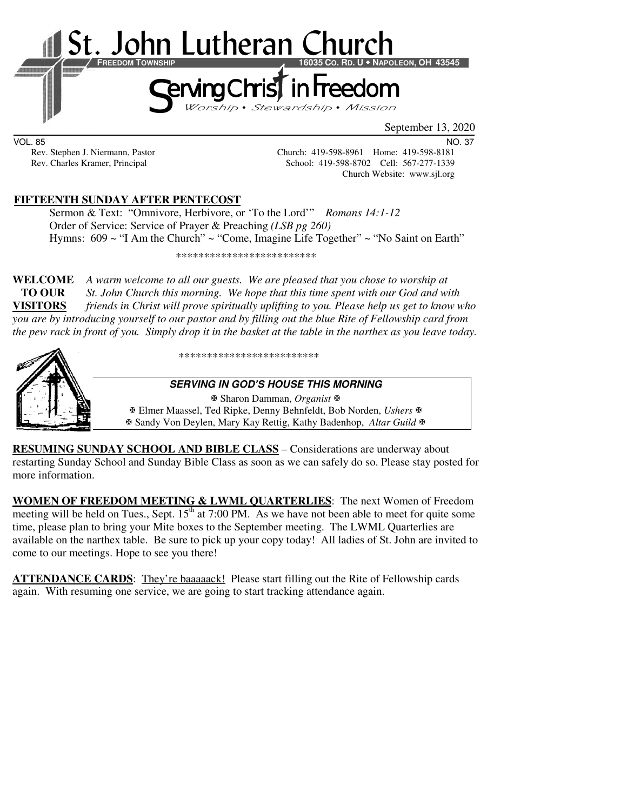

VOL. 85 NO. 37

Rev. Stephen J. Niermann, Pastor Church: 419-598-8961 Home: 419-598-8181 Rev. Charles Kramer, Principal School: 419-598-8702 Cell: 567-277-1339 Church Website: www.sjl.org

### **FIFTEENTH SUNDAY AFTER PENTECOST**

 Sermon & Text: "Omnivore, Herbivore, or 'To the Lord'" *Romans 14:1-12* Order of Service: Service of Prayer & Preaching *(LSB pg 260)* Hymns: 609 ~ "I Am the Church" ~ "Come, Imagine Life Together" ~ "No Saint on Earth"

\*\*\*\*\*\*\*\*\*\*\*\*\*\*\*\*\*\*\*\*\*\*\*\*\*

**WELCOME** *A warm welcome to all our guests. We are pleased that you chose to worship at*   **TO OUR** *St. John Church this morning. We hope that this time spent with our God and with*  **VISITORS** *friends in Christ will prove spiritually uplifting to you. Please help us get to know who you are by introducing yourself to our pastor and by filling out the blue Rite of Fellowship card from the pew rack in front of you. Simply drop it in the basket at the table in the narthex as you leave today.* 



\*\*\*\*\*\*\*\*\*\*\*\*\*\*\*\*\*\*\*\*\*\*\*\*\*

#### **SERVING IN GOD'S HOUSE THIS MORNING**

 Sharon Damman, *Organist* Elmer Maassel, Ted Ripke, Denny Behnfeldt, Bob Norden, *Ushers* Sandy Von Deylen, Mary Kay Rettig, Kathy Badenhop, *Altar Guild*

**RESUMING SUNDAY SCHOOL AND BIBLE CLASS** *–* Considerations are underway about restarting Sunday School and Sunday Bible Class as soon as we can safely do so. Please stay posted for more information.

**WOMEN OF FREEDOM MEETING & LWML QUARTERLIES**: The next Women of Freedom meeting will be held on Tues., Sept.  $15<sup>th</sup>$  at 7:00 PM. As we have not been able to meet for quite some time, please plan to bring your Mite boxes to the September meeting. The LWML Quarterlies are available on the narthex table. Be sure to pick up your copy today! All ladies of St. John are invited to come to our meetings. Hope to see you there!

**ATTENDANCE CARDS**: They're baaaaack! Please start filling out the Rite of Fellowship cards again. With resuming one service, we are going to start tracking attendance again.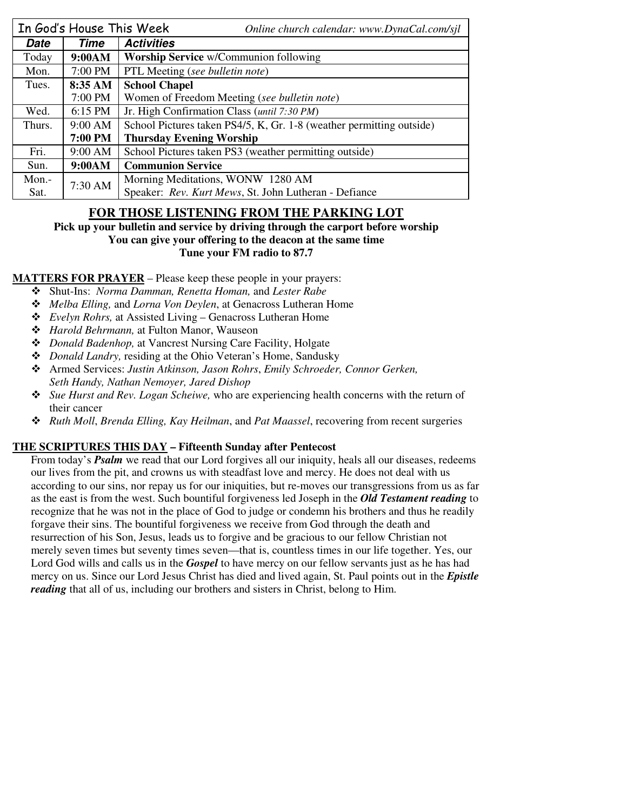|          | In God's House This Week | Online church calendar: www.DynaCal.com/sjl                          |  |  |
|----------|--------------------------|----------------------------------------------------------------------|--|--|
| Date     | Time                     | <b>Activities</b>                                                    |  |  |
| Today    | 9:00AM                   | Worship Service w/Communion following                                |  |  |
| Mon.     | 7:00 PM                  | PTL Meeting (see bulletin note)                                      |  |  |
| Tues.    | 8:35 AM                  | <b>School Chapel</b>                                                 |  |  |
|          | 7:00 PM                  | Women of Freedom Meeting (see bulletin note)                         |  |  |
| Wed.     | 6:15 PM                  | Jr. High Confirmation Class (until 7:30 PM)                          |  |  |
| Thurs.   | $9:00 \text{ AM}$        | School Pictures taken PS4/5, K, Gr. 1-8 (weather permitting outside) |  |  |
|          | <b>7:00 PM</b>           | <b>Thursday Evening Worship</b>                                      |  |  |
| Fri.     | 9:00 AM                  | School Pictures taken PS3 (weather permitting outside)               |  |  |
| Sun.     | 9:00AM                   | <b>Communion Service</b>                                             |  |  |
| $Mon. -$ | 7:30 AM                  | Morning Meditations, WONW 1280 AM                                    |  |  |
| Sat.     |                          | Speaker: Rev. Kurt Mews, St. John Lutheran - Defiance                |  |  |

# **FOR THOSE LISTENING FROM THE PARKING LOT**

**Pick up your bulletin and service by driving through the carport before worship You can give your offering to the deacon at the same time Tune your FM radio to 87.7** 

**MATTERS FOR PRAYER** – Please keep these people in your prayers:

- Shut-Ins: *Norma Damman, Renetta Homan,* and *Lester Rabe*
- *Melba Elling,* and *Lorna Von Deylen*, at Genacross Lutheran Home
- *Evelyn Rohrs,* at Assisted Living Genacross Lutheran Home
- *Harold Behrmann,* at Fulton Manor, Wauseon
- *Donald Badenhop,* at Vancrest Nursing Care Facility, Holgate
- *Donald Landry,* residing at the Ohio Veteran's Home, Sandusky
- Armed Services: *Justin Atkinson, Jason Rohrs*, *Emily Schroeder, Connor Gerken, Seth Handy, Nathan Nemoyer, Jared Dishop*
- *Sue Hurst and Rev. Logan Scheiwe,* who are experiencing health concerns with the return of their cancer
- *Ruth Moll*, *Brenda Elling, Kay Heilman*, and *Pat Maassel*, recovering from recent surgeries

## **THE SCRIPTURES THIS DAY – Fifteenth Sunday after Pentecost**

From today's *Psalm* we read that our Lord forgives all our iniquity, heals all our diseases, redeems our lives from the pit, and crowns us with steadfast love and mercy. He does not deal with us according to our sins, nor repay us for our iniquities, but re-moves our transgressions from us as far as the east is from the west. Such bountiful forgiveness led Joseph in the *Old Testament reading* to recognize that he was not in the place of God to judge or condemn his brothers and thus he readily forgave their sins. The bountiful forgiveness we receive from God through the death and resurrection of his Son, Jesus, leads us to forgive and be gracious to our fellow Christian not merely seven times but seventy times seven—that is, countless times in our life together. Yes, our Lord God wills and calls us in the *Gospel* to have mercy on our fellow servants just as he has had mercy on us. Since our Lord Jesus Christ has died and lived again, St. Paul points out in the *Epistle reading* that all of us, including our brothers and sisters in Christ, belong to Him.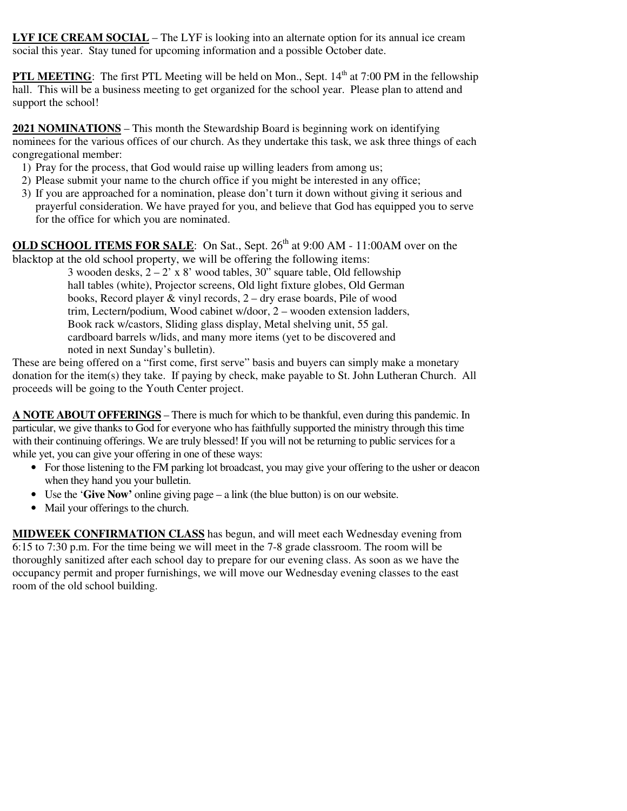**LYF ICE CREAM SOCIAL** – The LYF is looking into an alternate option for its annual ice cream social this year. Stay tuned for upcoming information and a possible October date.

**PTL MEETING:** The first PTL Meeting will be held on Mon., Sept. 14<sup>th</sup> at 7:00 PM in the fellowship hall. This will be a business meeting to get organized for the school year. Please plan to attend and support the school!

**2021 NOMINATIONS** – This month the Stewardship Board is beginning work on identifying nominees for the various offices of our church. As they undertake this task, we ask three things of each congregational member:

- 1) Pray for the process, that God would raise up willing leaders from among us;
- 2) Please submit your name to the church office if you might be interested in any office;
- 3) If you are approached for a nomination, please don't turn it down without giving it serious and prayerful consideration. We have prayed for you, and believe that God has equipped you to serve for the office for which you are nominated.

**OLD SCHOOL ITEMS FOR SALE:** On Sat., Sept. 26<sup>th</sup> at 9:00 AM - 11:00AM over on the blacktop at the old school property, we will be offering the following items:

3 wooden desks,  $2 - 2'$  x 8' wood tables, 30" square table, Old fellowship hall tables (white), Projector screens, Old light fixture globes, Old German books, Record player & vinyl records, 2 – dry erase boards, Pile of wood trim, Lectern/podium, Wood cabinet w/door, 2 – wooden extension ladders, Book rack w/castors, Sliding glass display, Metal shelving unit, 55 gal. cardboard barrels w/lids, and many more items (yet to be discovered and noted in next Sunday's bulletin).

These are being offered on a "first come, first serve" basis and buyers can simply make a monetary donation for the item(s) they take. If paying by check, make payable to St. John Lutheran Church. All proceeds will be going to the Youth Center project.

**A NOTE ABOUT OFFERINGS** – There is much for which to be thankful, even during this pandemic. In particular, we give thanks to God for everyone who has faithfully supported the ministry through this time with their continuing offerings. We are truly blessed! If you will not be returning to public services for a while yet, you can give your offering in one of these ways:

- For those listening to the FM parking lot broadcast, you may give your offering to the usher or deacon when they hand you your bulletin.
- Use the '**Give Now'** online giving page a link (the blue button) is on our website.
- Mail your offerings to the church.

**MIDWEEK CONFIRMATION CLASS** has begun, and will meet each Wednesday evening from 6:15 to 7:30 p.m. For the time being we will meet in the 7-8 grade classroom. The room will be thoroughly sanitized after each school day to prepare for our evening class. As soon as we have the occupancy permit and proper furnishings, we will move our Wednesday evening classes to the east room of the old school building.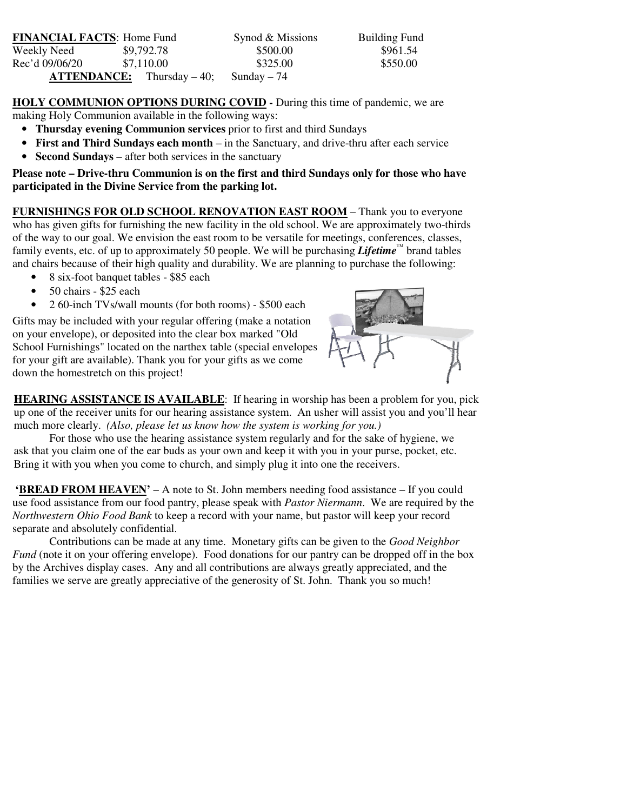| <b>FINANCIAL FACTS: Home Fund</b> |                                       | Synod & Missions | <b>Building Fund</b> |
|-----------------------------------|---------------------------------------|------------------|----------------------|
| Weekly Need                       | \$9,792.78                            | \$500.00         | \$961.54             |
| Rec'd 09/06/20                    | \$7.110.00                            | \$325.00         | \$550.00             |
|                                   | $\textbf{ATTENDANCE:}$ Thursday – 40; | Sunday $-74$     |                      |

**HOLY COMMUNION OPTIONS DURING COVID -** During this time of pandemic, we are making Holy Communion available in the following ways:

- **Thursday evening Communion services** prior to first and third Sundays
- **First and Third Sundays each month** in the Sanctuary, and drive-thru after each service
- **Second Sundays** after both services in the sanctuary

**Please note – Drive-thru Communion is on the first and third Sundays only for those who have participated in the Divine Service from the parking lot.** 

**FURNISHINGS FOR OLD SCHOOL RENOVATION EAST ROOM** – Thank you to everyone who has given gifts for furnishing the new facility in the old school. We are approximately two-thirds of the way to our goal. We envision the east room to be versatile for meetings, conferences, classes, family events, etc. of up to approximately 50 people. We will be purchasing *Lifetime*<sup>™</sup> brand tables and chairs because of their high quality and durability. We are planning to purchase the following:

- 8 six-foot banquet tables \$85 each
- 50 chairs \$25 each
- 2 60-inch TVs/wall mounts (for both rooms) \$500 each

Gifts may be included with your regular offering (make a notation on your envelope), or deposited into the clear box marked "Old School Furnishings" located on the narthex table (special envelopes for your gift are available). Thank you for your gifts as we come down the homestretch on this project!



**HEARING ASSISTANCE IS AVAILABLE**: If hearing in worship has been a problem for you, pick up one of the receiver units for our hearing assistance system. An usher will assist you and you'll hear much more clearly. *(Also, please let us know how the system is working for you.)* 

For those who use the hearing assistance system regularly and for the sake of hygiene, we ask that you claim one of the ear buds as your own and keep it with you in your purse, pocket, etc. Bring it with you when you come to church, and simply plug it into one the receivers.

**'BREAD FROM HEAVEN'** – A note to St. John members needing food assistance – If you could use food assistance from our food pantry, please speak with *Pastor Niermann*. We are required by the *Northwestern Ohio Food Bank* to keep a record with your name, but pastor will keep your record separate and absolutely confidential.

Contributions can be made at any time. Monetary gifts can be given to the *Good Neighbor Fund* (note it on your offering envelope). Food donations for our pantry can be dropped off in the box by the Archives display cases. Any and all contributions are always greatly appreciated, and the families we serve are greatly appreciative of the generosity of St. John. Thank you so much!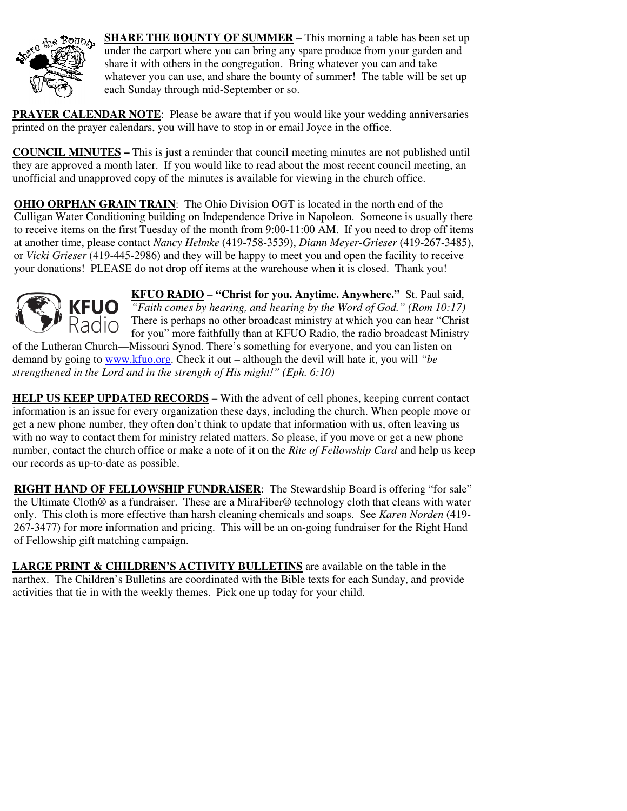

**SHARE THE BOUNTY OF SUMMER** – This morning a table has been set up under the carport where you can bring any spare produce from your garden and share it with others in the congregation. Bring whatever you can and take whatever you can use, and share the bounty of summer! The table will be set up each Sunday through mid-September or so.

**PRAYER CALENDAR NOTE:** Please be aware that if you would like your wedding anniversaries printed on the prayer calendars, you will have to stop in or email Joyce in the office.

**COUNCIL MINUTES –** This is just a reminder that council meeting minutes are not published until they are approved a month later. If you would like to read about the most recent council meeting, an unofficial and unapproved copy of the minutes is available for viewing in the church office.

**OHIO ORPHAN GRAIN TRAIN**: The Ohio Division OGT is located in the north end of the Culligan Water Conditioning building on Independence Drive in Napoleon. Someone is usually there to receive items on the first Tuesday of the month from 9:00-11:00 AM. If you need to drop off items at another time, please contact *Nancy Helmke* (419-758-3539), *Diann Meyer-Grieser* (419-267-3485), or *Vicki Grieser* (419-445-2986) and they will be happy to meet you and open the facility to receive your donations! PLEASE do not drop off items at the warehouse when it is closed. Thank you!



**KFUO RADIO** – **"Christ for you. Anytime. Anywhere."** St. Paul said, *"Faith comes by hearing, and hearing by the Word of God." (Rom 10:17)* There is perhaps no other broadcast ministry at which you can hear "Christ for you" more faithfully than at KFUO Radio, the radio broadcast Ministry of the Lutheran Church—Missouri Synod. There's something for everyone, and you can listen on

demand by going to www.kfuo.org. Check it out – although the devil will hate it, you will *"be strengthened in the Lord and in the strength of His might!" (Eph. 6:10)*

**HELP US KEEP UPDATED RECORDS** – With the advent of cell phones, keeping current contact information is an issue for every organization these days, including the church. When people move or get a new phone number, they often don't think to update that information with us, often leaving us with no way to contact them for ministry related matters. So please, if you move or get a new phone number, contact the church office or make a note of it on the *Rite of Fellowship Card* and help us keep our records as up-to-date as possible.

**RIGHT HAND OF FELLOWSHIP FUNDRAISER**: The Stewardship Board is offering "for sale" the Ultimate Cloth® as a fundraiser. These are a MiraFiber® technology cloth that cleans with water only. This cloth is more effective than harsh cleaning chemicals and soaps. See *Karen Norden* (419- 267-3477) for more information and pricing. This will be an on-going fundraiser for the Right Hand of Fellowship gift matching campaign.

**LARGE PRINT & CHILDREN'S ACTIVITY BULLETINS** are available on the table in the narthex. The Children's Bulletins are coordinated with the Bible texts for each Sunday, and provide activities that tie in with the weekly themes. Pick one up today for your child.